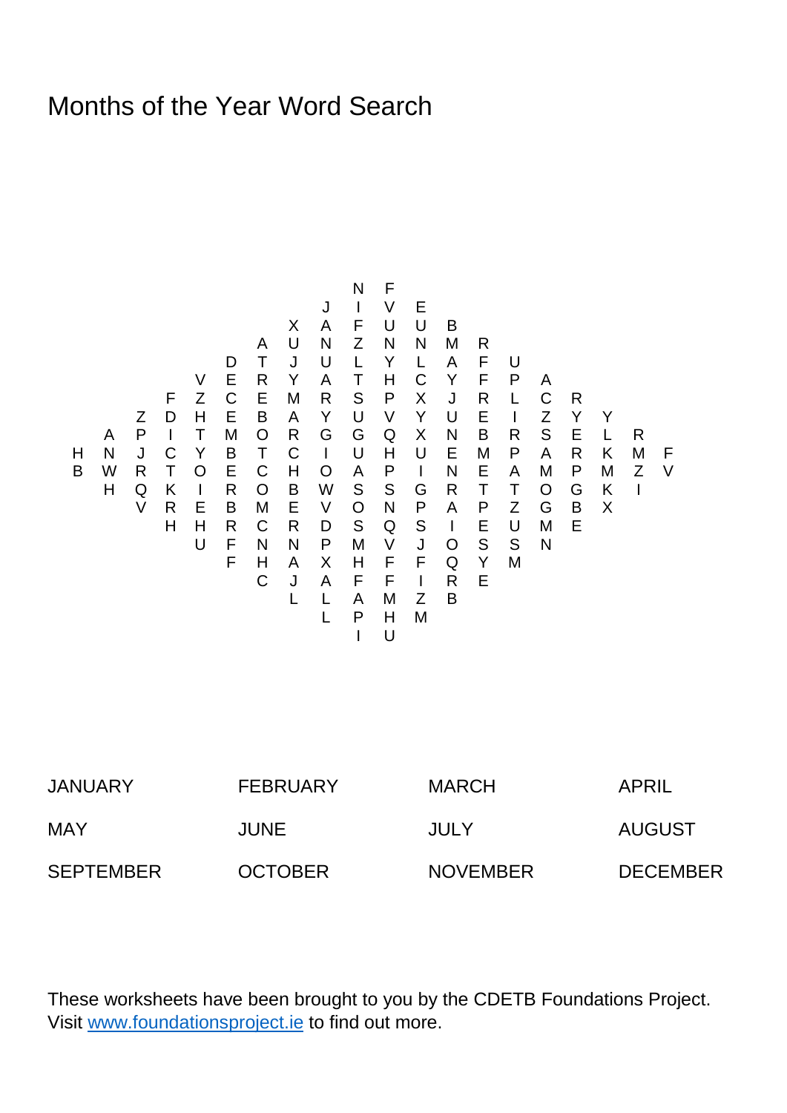## Months of the Year Word Search

| N F                                     | N F |
|-----------------------------------------|-----|
| $X$ A F U U B                           |     |
| $X$ A F U U B                           |     |
| $Y$ E R Y A T C Y F P A                 |     |
| $Y$ E R Y A T U V U E I Z Y Y           |     |
| $Y$ E R Y A U V Y U E I Z Y Y           |     |
| $Y$ E B A Y U V Y U E I Z Y Y           |     |
| $Y$ B T C U H U E M P A R K M F         |     |
| $W$ R T O E C H O A P I N E A M P M Z V |     |
| $W$ R T O E C H O A P I N E A M P M Z V |     |
| $W$ R T O B W S S G R T T O G K I       |     |
| $W$ R T R C R D S Q S I E U M E         |     |
| $W$ H R C R D S Q S I E U M E           |     |
| $W$ H H R C R D S Q S I E U M E         |     |
| $W$ H H R V J O S S N                   |     |
| $W$ H H R V J Q S S N                   |     |
| $W$ H H R V J Q S S N                   |     |
| $W$ H H R V J Q S S N                   |     |
| $W$ H H R V J Q S S N                   |     |
| $W$ H H R V J Q S S N                   |     |
| $W$ H H R V H V J Q S S N               |     |
| $W$ H H R V H V J Q S S N               |     |
| $W$ H H R V H V J Q S S N               |     |
| $W$ H H R V H V J Q S S N               |     |
| $W$ H H R V H V J Q S S N               |     |
| $W$                                     |     |

| <b>JANUARY</b>   | <b>FEBRUARY</b> | <b>MARCH</b>    | APRIL           |
|------------------|-----------------|-----------------|-----------------|
| <b>MAY</b>       | <b>JUNE</b>     | JULY            | AUGUST          |
| <b>SEPTEMBER</b> | <b>OCTOBER</b>  | <b>NOVEMBER</b> | <b>DECEMBER</b> |

These worksheets have been brought to you by the CDETB Foundations Project. Visit [www.foundationsproject.ie](http://www.foundationsproject.ie/) to find out more.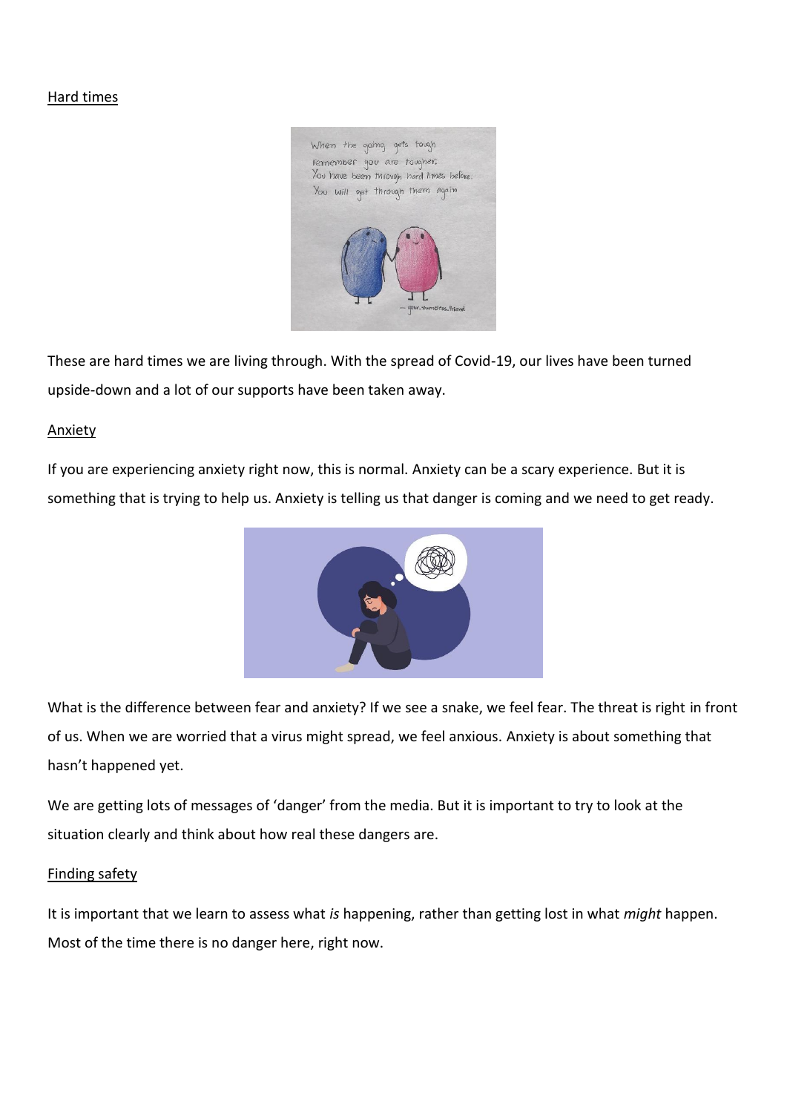#### Hard times



These are hard times we are living through. With the spread of Covid-19, our lives have been turned upside-down and a lot of our supports have been taken away.

#### Anxiety

If you are experiencing anxiety right now, this is normal. Anxiety can be a scary experience. But it is something that is trying to help us. Anxiety is telling us that danger is coming and we need to get ready.



What is the difference between fear and anxiety? If we see a snake, we feel fear. The threat is right in front of us. When we are worried that a virus might spread, we feel anxious. Anxiety is about something that hasn't happened yet.

We are getting lots of messages of 'danger' from the media. But it is important to try to look at the situation clearly and think about how real these dangers are.

#### Finding safety

It is important that we learn to assess what *is* happening, rather than getting lost in what *might* happen. Most of the time there is no danger here, right now.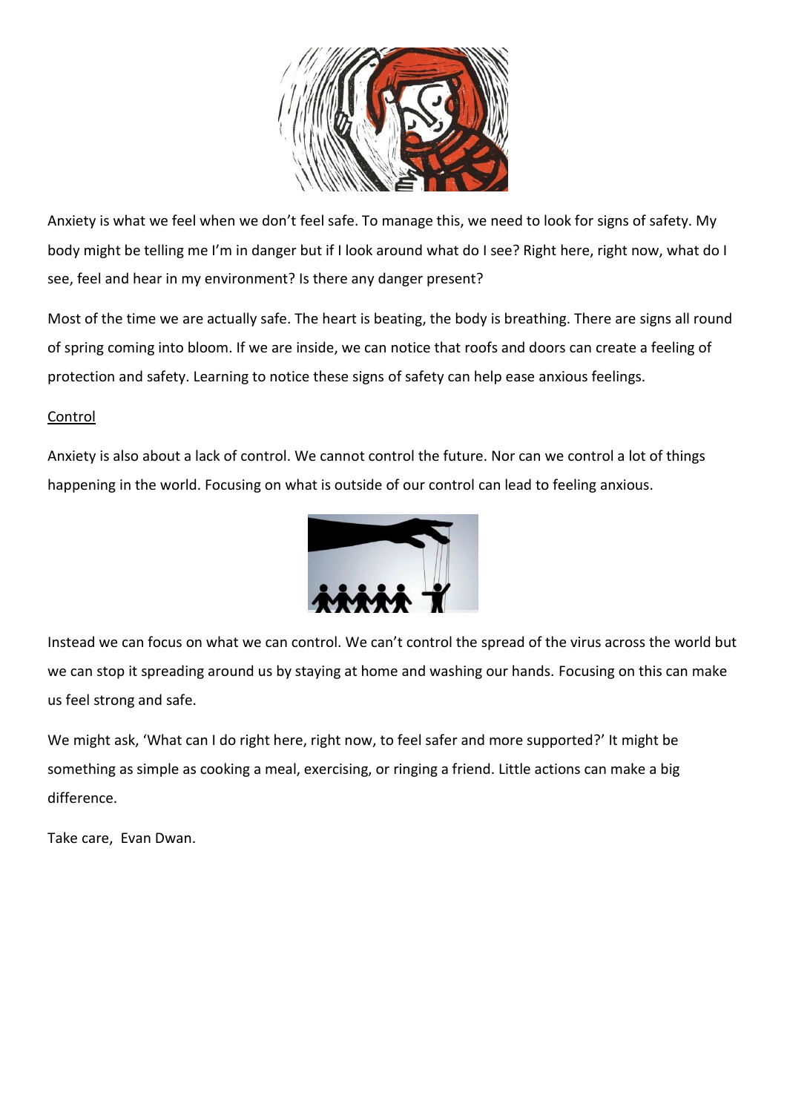

Anxiety is what we feel when we don't feel safe. To manage this, we need to look for signs of safety. My body might be telling me I'm in danger but if I look around what do I see? Right here, right now, what do I see, feel and hear in my environment? Is there any danger present?

Most of the time we are actually safe. The heart is beating, the body is breathing. There are signs all round of spring coming into bloom. If we are inside, we can notice that roofs and doors can create a feeling of protection and safety. Learning to notice these signs of safety can help ease anxious feelings.

### Control

Anxiety is also about a lack of control. We cannot control the future. Nor can we control a lot of things happening in the world. Focusing on what is outside of our control can lead to feeling anxious.



Instead we can focus on what we can control. We can't control the spread of the virus across the world but we can stop it spreading around us by staying at home and washing our hands. Focusing on this can make us feel strong and safe.

We might ask, 'What can I do right here, right now, to feel safer and more supported?' It might be something as simple as cooking a meal, exercising, or ringing a friend. Little actions can make a big difference.

Take care, Evan Dwan.